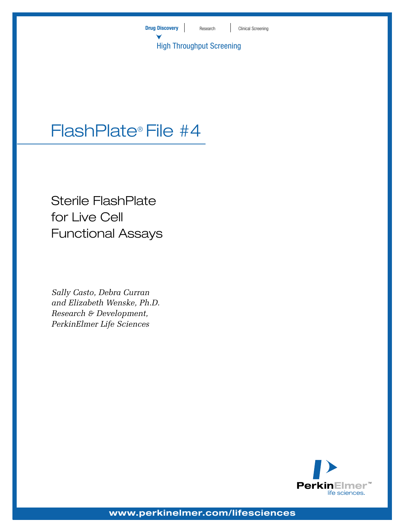

# FlashPlate® File #4

Sterile FlashPlate for Live Cell Functional Assays

*Sally Casto, Debra Curran and Elizabeth Wenske, Ph.D. Research & Development, PerkinElmer Life Sciences*

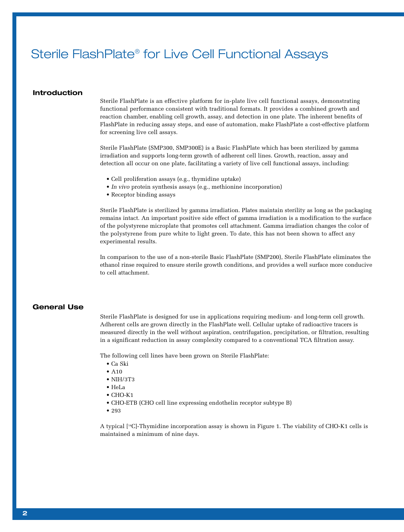## Sterile FlashPlate® for Live Cell Functional Assays

## **Introduction**

Sterile FlashPlate is an effective platform for in-plate live cell functional assays, demonstrating functional performance consistent with traditional formats. It provides a combined growth and reaction chamber, enabling cell growth, assay, and detection in one plate. The inherent benefits of FlashPlate in reducing assay steps, and ease of automation, make FlashPlate a cost-effective platform for screening live cell assays.

Sterile FlashPlate (SMP300, SMP300E) is a Basic FlashPlate which has been sterilized by gamma irradiation and supports long-term growth of adherent cell lines. Growth, reaction, assay and detection all occur on one plate, facilitating a variety of live cell functional assays, including:

- Cell proliferation assays (e.g., thymidine uptake)
- *In vivo* protein synthesis assays (e.g., methionine incorporation)
- Receptor binding assays

Sterile FlashPlate is sterilized by gamma irradiation. Plates maintain sterility as long as the packaging remains intact. An important positive side effect of gamma irradiation is a modification to the surface of the polystyrene microplate that promotes cell attachment. Gamma irradiation changes the color of the polystyrene from pure white to light green. To date, this has not been shown to affect any experimental results.

In comparison to the use of a non-sterile Basic FlashPlate (SMP200), Sterile FlashPlate eliminates the ethanol rinse required to ensure sterile growth conditions, and provides a well surface more conducive to cell attachment.

## **General Use**

Sterile FlashPlate is designed for use in applications requiring medium- and long-term cell growth. Adherent cells are grown directly in the FlashPlate well. Cellular uptake of radioactive tracers is measured directly in the well without aspiration, centrifugation, precipitation, or filtration, resulting in a significant reduction in assay complexity compared to a conventional TCA filtration assay.

The following cell lines have been grown on Sterile FlashPlate:

- Ca Ski
- $\bullet$  A<sub>10</sub>
- NIH/3T3
- HeLa
- CHO-K1
- CHO-ETB (CHO cell line expressing endothelin receptor subtype B)
- 293

A typical [14C]-Thymidine incorporation assay is shown in Figure 1. The viability of CHO-K1 cells is maintained a minimum of nine days.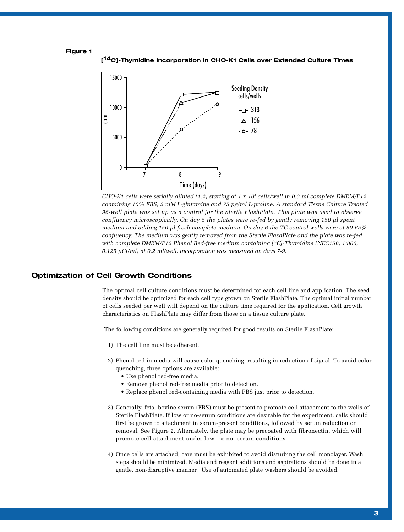### **Figure 1**

**[14C]-Thymidine Incorporation in CHO-K1 Cells over Extended Culture Times**



*CHO-K1 cells were serially diluted (1:2) starting at 1 x 104 cells/well in 0.3 ml complete DMEM/F12 containing 10% FBS, 2 mM L-glutamine and 75 µg/ml L-proline. A standard Tissue Culture Treated 96-well plate was set up as a control for the Sterile FlashPlate. This plate was used to observe confluency microscopically. On day 5 the plates were re-fed by gently removing 150 µl spent medium and adding 150 µl fresh complete medium. On day 6 the TC control wells were at 50-65% confluency. The medium was gently removed from the Sterile FlashPlate and the plate was re-fed with complete DMEM/F12 Phenol Red-free medium containing [14C]-Thymidine (NEC156, 1:800, 0.125 µCi/ml) at 0.2 ml/well. Incorporation was measured on days 7-9.* 

## **Optimization of Cell Growth Conditions**

The optimal cell culture conditions must be determined for each cell line and application. The seed density should be optimized for each cell type grown on Sterile FlashPlate. The optimal initial number of cells seeded per well will depend on the culture time required for the application. Cell growth characteristics on FlashPlate may differ from those on a tissue culture plate.

The following conditions are generally required for good results on Sterile FlashPlate:

- 1) The cell line must be adherent.
- 2) Phenol red in media will cause color quenching, resulting in reduction of signal. To avoid color quenching, three options are available:
	- Use phenol red-free media.
	- Remove phenol red-free media prior to detection.
	- Replace phenol red-containing media with PBS just prior to detection.
- 3) Generally, fetal bovine serum (FBS) must be present to promote cell attachment to the wells of Sterile FlashPlate. If low or no-serum conditions are desirable for the experiment, cells should first be grown to attachment in serum-present conditions, followed by serum reduction or removal. See Figure 2. Alternately, the plate may be precoated with fibronectin, which will promote cell attachment under low- or no- serum conditions.
- 4) Once cells are attached, care must be exhibited to avoid disturbing the cell monolayer. Wash steps should be minimized. Media and reagent additions and aspirations should be done in a gentle, non-disruptive manner. Use of automated plate washers should be avoided.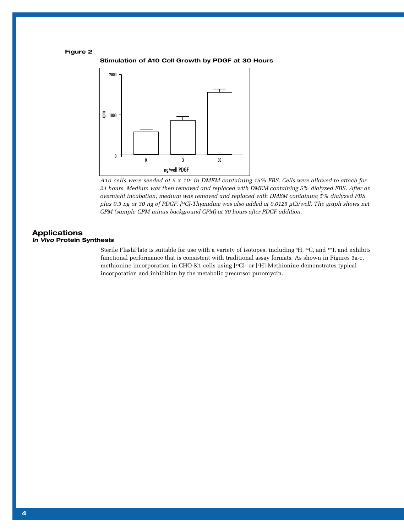## **Figure 2**

**Stimulation of A10 Cell Growth by PDGF at 30 Hours**



*A10 cells were seeded at 5 x 103 in DMEM containing 15% FBS. Cells were allowed to attach for 24 hours. Medium was then removed and replaced with DMEM containing 5% dialyzed FBS. After an overnight incubation, medium was removed and replaced with DMEM containing 5% dialyzed FBS plus 0.3 ng or 30 ng of PDGF. [14C]-Thymidine was also added at 0.0125 µCi/well. The graph shows net CPM (sample CPM minus background CPM) at 30 hours after PDGF addition.*

## **Applications**

Sterile FlashPlate is suitable for use with a variety of isotopes, including 3 H, 14C, and 125I, and exhibits functional performance that is consistent with traditional assay formats. As shown in Figures 3a-c, methionine incorporation in CHO-K1 cells using [14C]- or [3 H]-Methionine demonstrates typical incorporation and inhibition by the metabolic precursor puromycin.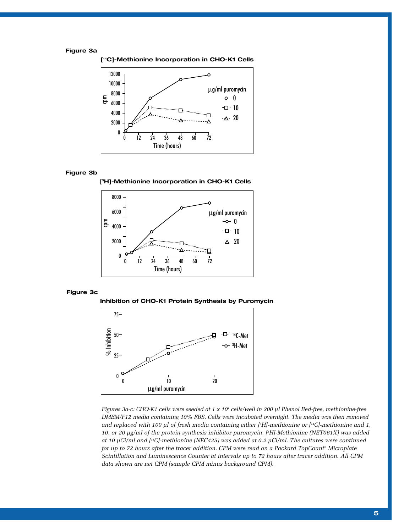## **Figure 3a**



## **Figure 3b**





#### **Figure 3c**





*Figures 3a-c: CHO-K1 cells were seeded at 1 x 104 cells/well in 200 µl Phenol Red-free, methionine-free DMEM/F12 media containing 10% FBS. Cells were incubated overnight. The media was then removed and replaced with 100 µl of fresh media containing either [3 H]-methionine or [14C]-methionine and 1, 10, or 20 µg/ml of the protein synthesis inhibitor puromycin. [3 H]-Methionine (NET061X) was added at 10 µCi/ml and [14C]-methionine (NEC425) was added at 0.2 µCi/ml. The cultures were continued for up to 72 hours after the tracer addition. CPM were read on a Packard TopCount® Microplate Scintillation and Luminescence Counter at intervals up to 72 hours after tracer addition. All CPM data shown are net CPM (sample CPM minus background CPM).*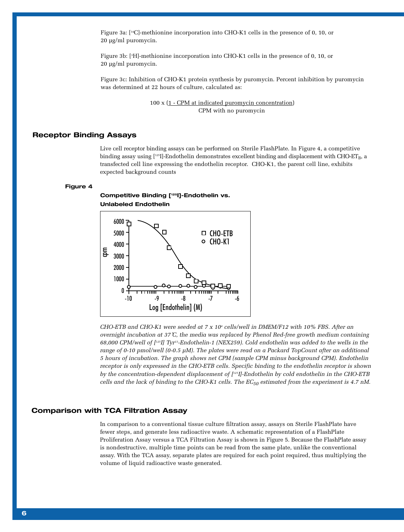Figure 3a: [14C]-methionine incorporation into CHO-K1 cells in the presence of 0, 10, or 20 µg/ml puromycin.

Figure 3b: [3 H]-methionine incorporation into CHO-K1 cells in the presence of 0, 10, or 20 µg/ml puromycin.

Figure 3c: Inhibition of CHO-K1 protein synthesis by puromycin. Percent inhibition by puromycin was determined at 22 hours of culture, calculated as:

> 100 x (1 - CPM at indicated puromycin concentration) CPM with no puromycin

## **Receptor Binding Assays**

Live cell receptor binding assays can be performed on Sterile FlashPlate. In Figure 4, a competitive binding assay using  $[1^{25}]$ -Endothelin demonstrates excellent binding and displacement with CHO-ET<sub>B</sub>, a transfected cell line expressing the endothelin receptor. CHO-K1, the parent cell line, exhibits expected background counts

### **Figure 4**

**Competitive Binding [125I]-Endothelin vs. Unlabeled Endothelin**



*CHO-ETB and CHO-K1 were seeded at 7 x 104 cells/well in DMEM/F12 with 10% FBS. After an overnight incubation at 37˚C, the media was replaced by Phenol Red-free growth medium containing 68,000 CPM/well of [125I] Tyr13-Endothelin-1 (NEX259). Cold endothelin was added to the wells in the range of 0-10 pmol/well (0-0.5 µM). The plates were read on a Packard TopCount after an additional 5 hours of incubation. The graph shows net CPM (sample CPM minus background CPM). Endothelin receptor is only expressed in the CHO-ETB cells. Specific binding to the endothelin receptor is shown by the concentration-dependent displacement of [125I]-Endothelin by cold endothelin in the CHO-ETB cells and the lack of binding to the CHO-K1 cells. The EC<sub>50</sub> estimated from the experiment is 4.7 nM.* 

## **Comparison with TCA Filtration Assay**

In comparison to a conventional tissue culture filtration assay, assays on Sterile FlashPlate have fewer steps, and generate less radioactive waste. A schematic representation of a FlashPlate Proliferation Assay versus a TCA Filtration Assay is shown in Figure 5. Because the FlashPlate assay is nondestructive, multiple time points can be read from the same plate, unlike the conventional assay. With the TCA assay, separate plates are required for each point required, thus multiplying the volume of liquid radioactive waste generated.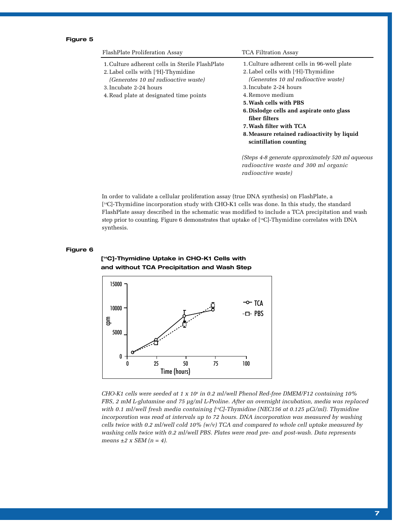## **Figure 5**

| FlashPlate Proliferation Assay                                                                                                                                                                       | <b>TCA Filtration Assay</b>                                                                                                                                                                                                                                                                                                                                                    |
|------------------------------------------------------------------------------------------------------------------------------------------------------------------------------------------------------|--------------------------------------------------------------------------------------------------------------------------------------------------------------------------------------------------------------------------------------------------------------------------------------------------------------------------------------------------------------------------------|
| 1. Culture adherent cells in Sterile FlashPlate<br>2. Label cells with $[3H]$ -Thymidine<br>(Generates 10 ml radioactive waste)<br>3. Incubate 2-24 hours<br>4. Read plate at designated time points | 1. Culture adherent cells in 96-well plate<br>2. Label cells with [ <sup>3</sup> H]-Thymidine<br>(Generates 10 ml radioactive waste)<br>3. Incubate 2-24 hours<br>4. Remove medium<br>5. Wash cells with PBS<br>6. Dislodge cells and aspirate onto glass<br>fiber filters<br>7. Wash filter with TCA<br>8. Measure retained radioactivity by liquid<br>scintillation counting |
|                                                                                                                                                                                                      | (Steps 4-8 generate approximately 520 ml aqueous<br>radioactive waste and 300 ml organic                                                                                                                                                                                                                                                                                       |

In order to validate a cellular proliferation assay (true DNA synthesis) on FlashPlate, a [14C]-Thymidine incorporation study with CHO-K1 cells was done. In this study, the standard FlashPlate assay described in the schematic was modified to include a TCA precipitation and wash step prior to counting. Figure 6 demonstrates that uptake of [14C]-Thymidine correlates with DNA synthesis.

*radioactive waste)*

## **Figure 6**

**and without TCA Precipitation and Wash Step** E<sub>p</sub> 0 25 50 75 100 15000 10000 5000 0  $\sim$  TCA ·□ PBS Time (hours)

**[14C]-Thymidine Uptake in CHO-K1 Cells with**

*CHO-K1 cells were seeded at 1 x 104 in 0.2 ml/well Phenol Red-free DMEM/F12 containing 10% FBS, 2 mM L-glutamine and 75 µg/ml L-Proline. After an overnight incubation, media was replaced with 0.1 ml/well fresh media containing [14C]-Thymidine (NEC156 at 0.125 µCi/ml). Thymidine incorporation was read at intervals up to 72 hours. DNA incorporation was measured by washing cells twice with 0.2 ml/well cold 10% (w/v) TCA and compared to whole cell uptake measured by washing cells twice with 0.2 ml/well PBS. Plates were read pre- and post-wash. Data represents means ±2 x SEM (n = 4).*